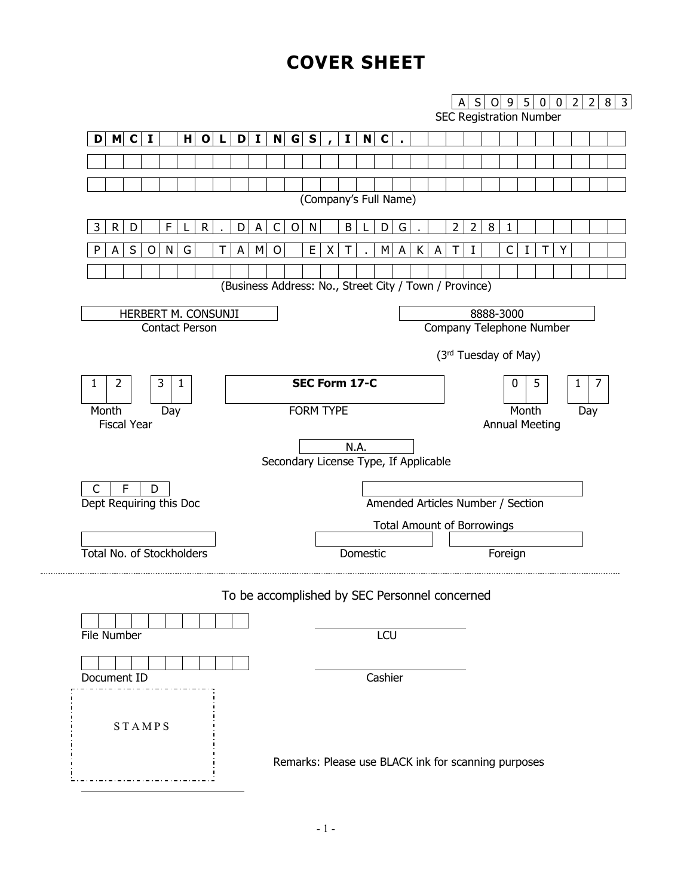# **COVER SHEET**

<span id="page-0-0"></span>

| $H$ O L<br>$\mathbf{D}$<br>$D$ M C<br>$\mathbf I$ |                                                        |                       |          |     |                                   |   |   |             |                          |   |         |       |                                |     |  |
|---------------------------------------------------|--------------------------------------------------------|-----------------------|----------|-----|-----------------------------------|---|---|-------------|--------------------------|---|---------|-------|--------------------------------|-----|--|
|                                                   |                                                        |                       |          |     |                                   |   |   |             |                          |   |         |       | <b>SEC Registration Number</b> |     |  |
|                                                   | N G S<br>$\mathbf{I}$                                  |                       | Ι.       | N C |                                   |   |   |             |                          |   |         |       |                                |     |  |
|                                                   |                                                        |                       |          |     |                                   |   |   |             |                          |   |         |       |                                |     |  |
|                                                   |                                                        |                       |          |     |                                   |   |   |             |                          |   |         |       |                                |     |  |
|                                                   |                                                        | (Company's Full Name) |          |     |                                   |   |   |             |                          |   |         |       |                                |     |  |
| 3<br>R<br>F<br>R.<br>D<br>D                       | $\mathsf{C}$<br>O<br>$\mathsf{A}$                      | N                     | B        |     | G<br>D                            |   |   | $2^{\circ}$ | $\overline{2}$           | 8 | 1       |       |                                |     |  |
| S<br>N<br>P<br>O<br>G<br>А<br>А<br>т              | M<br>$\circ$                                           | E<br>X                |          |     | M<br>A                            | К | А |             |                          |   | C       |       |                                |     |  |
|                                                   |                                                        |                       |          |     |                                   |   |   |             |                          |   |         |       |                                |     |  |
|                                                   | (Business Address: No., Street City / Town / Province) |                       |          |     |                                   |   |   |             |                          |   |         |       |                                |     |  |
| HERBERT M. CONSUNJI                               |                                                        |                       |          |     |                                   |   |   |             | 8888-3000                |   |         |       |                                |     |  |
| <b>Contact Person</b>                             |                                                        |                       |          |     |                                   |   |   |             | Company Telephone Number |   |         |       |                                |     |  |
|                                                   |                                                        |                       |          |     |                                   |   |   |             | (3rd Tuesday of May)     |   |         |       |                                |     |  |
|                                                   |                                                        |                       |          |     |                                   |   |   |             |                          |   |         |       |                                |     |  |
| 2<br>3<br>1<br>1                                  |                                                        | SEC Form 17-C         |          |     |                                   |   |   |             |                          |   | 0       |       | 5                              | 1   |  |
| Month<br>Day                                      |                                                        | <b>FORM TYPE</b>      |          |     |                                   |   |   |             |                          |   |         | Month |                                | Day |  |
| <b>Fiscal Year</b>                                |                                                        |                       |          |     |                                   |   |   |             |                          |   |         |       | <b>Annual Meeting</b>          |     |  |
|                                                   | Secondary License Type, If Applicable                  |                       | N.A.     |     |                                   |   |   |             |                          |   |         |       |                                |     |  |
|                                                   |                                                        |                       |          |     |                                   |   |   |             |                          |   |         |       |                                |     |  |
| $\mathsf{C}$<br>F<br>D<br>Dept Requiring this Doc |                                                        |                       |          |     | Amended Articles Number / Section |   |   |             |                          |   |         |       |                                |     |  |
|                                                   |                                                        |                       |          |     | <b>Total Amount of Borrowings</b> |   |   |             |                          |   |         |       |                                |     |  |
|                                                   |                                                        |                       |          |     |                                   |   |   |             |                          |   |         |       |                                |     |  |
|                                                   |                                                        |                       | Domestic |     |                                   |   |   |             |                          |   | Foreign |       |                                |     |  |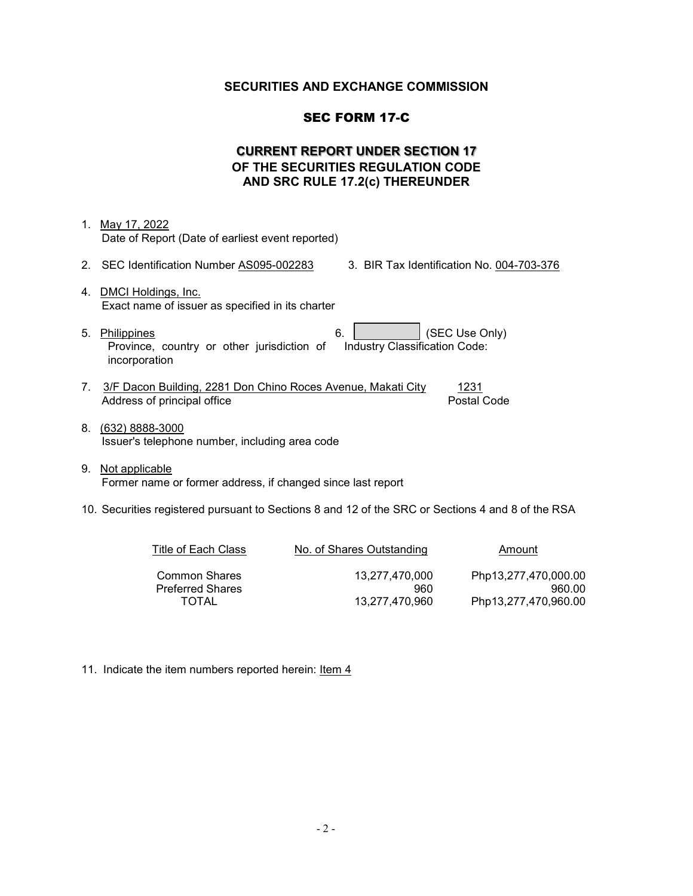### **SECURITIES AND EXCHANGE COMMISSION**

#### SEC FORM 17-C

# **CURRENT REPORT UNDER SECTION 17 OF THE SECURITIES REGULATION CODE AND SRC RULE 17.2(c) THEREUNDER**

- 1. May 17, 2022 Date of Report (Date of earliest event reported) 2. SEC Identification Number AS095-002283 3. BIR Tax Identification No. 004-703-376 4. DMCI Holdings, Inc. Exact name of issuer as specified in its charter
- 5. Philippines 6. (SEC Use Only) Province, country or other jurisdiction of incorporation Industry Classification Code:
- 7. 3/F Dacon Building, 2281 Don Chino Roces Avenue, Makati City 1231 Address of principal office **Postal Code**
- 8. (632) 8888-3000 Issuer's telephone number, including area code
- 9. Not applicable Former name or former address, if changed since last report

#### 10. Securities registered pursuant to Sections 8 and 12 of the SRC or Sections 4 and 8 of the RSA

| Title of Each Class     | No. of Shares Outstanding | Amount               |
|-------------------------|---------------------------|----------------------|
| <b>Common Shares</b>    | 13.277.470.000            | Php13,277,470,000.00 |
| <b>Preferred Shares</b> | 960                       | 960.00               |
| <b>TOTAL</b>            | 13.277.470.960            | Php13,277,470,960.00 |

11. Indicate the item numbers reported herein: Item 4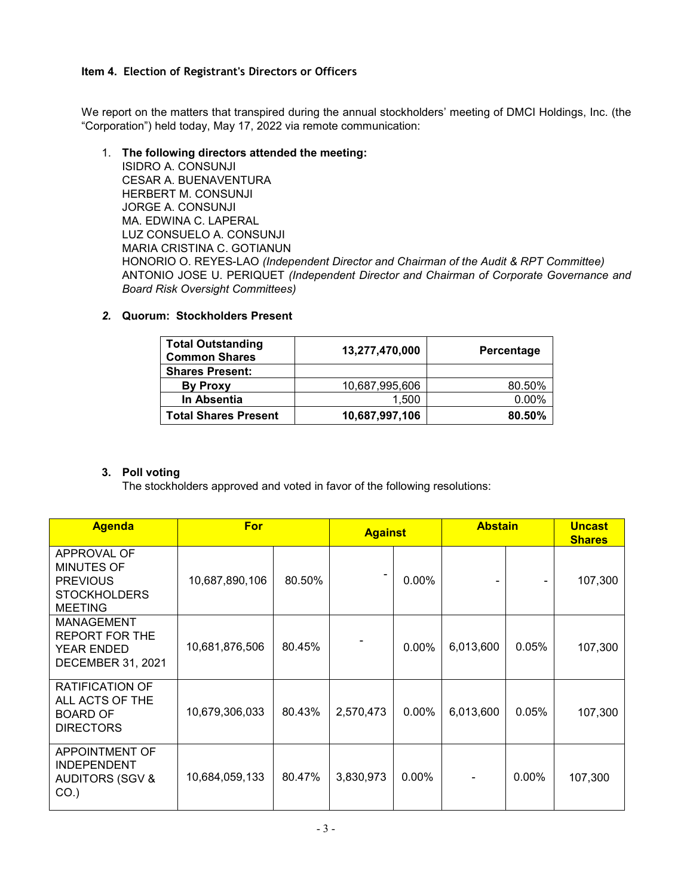#### **Item 4. Election of Registrant's Directors or Officers**

We report on the matters that transpired during the annual stockholders' meeting of DMCI Holdings, Inc. (the "Corporation") held today, May 17, 2022 via remote communication:

#### 1. **The following directors attended the meeting:**

ISIDRO A. CONSUNJI CESAR A. BUENAVENTURA HERBERT M. CONSUNJI JORGE A. CONSUNJI MA. EDWINA C. LAPERAL LUZ CONSUELO A. CONSUNJI MARIA CRISTINA C. GOTIANUN HONORIO O. REYES-LAO *(Independent Director and Chairman of the Audit & RPT Committee)*  ANTONIO JOSE U. PERIQUET *(Independent Director and Chairman of Corporate Governance and Board Risk Oversight Committees)*

# *2.* **Quorum: Stockholders Present**

| <b>Total Outstanding</b><br><b>Common Shares</b> | 13,277,470,000 | Percentage |
|--------------------------------------------------|----------------|------------|
| <b>Shares Present:</b>                           |                |            |
| <b>By Proxy</b>                                  | 10,687,995,606 | 80.50%     |
| In Absentia                                      | 1.500          | $0.00\%$   |
| <b>Total Shares Present</b>                      | 10,687,997,106 | 80.50%     |

# **3. Poll voting**

The stockholders approved and voted in favor of the following resolutions:

| <b>Agenda</b>                                                                                | <b>For</b>     |        | <b>Against</b> |          | <b>Abstain</b> |          | <b>Uncast</b><br><b>Shares</b> |
|----------------------------------------------------------------------------------------------|----------------|--------|----------------|----------|----------------|----------|--------------------------------|
| APPROVAL OF<br><b>MINUTES OF</b><br><b>PREVIOUS</b><br><b>STOCKHOLDERS</b><br><b>MEETING</b> | 10,687,890,106 | 80.50% |                | 0.00%    |                |          | 107,300                        |
| MANAGEMENT<br><b>REPORT FOR THE</b><br><b>YEAR ENDED</b><br><b>DECEMBER 31, 2021</b>         | 10,681,876,506 | 80.45% |                | $0.00\%$ | 6,013,600      | 0.05%    | 107,300                        |
| RATIFICATION OF<br>ALL ACTS OF THE<br><b>BOARD OF</b><br><b>DIRECTORS</b>                    | 10,679,306,033 | 80.43% | 2,570,473      | $0.00\%$ | 6,013,600      | 0.05%    | 107,300                        |
| APPOINTMENT OF<br><b>INDEPENDENT</b><br><b>AUDITORS (SGV &amp;</b><br>$CO.$ )                | 10,684,059,133 | 80.47% | 3,830,973      | $0.00\%$ |                | $0.00\%$ | 107,300                        |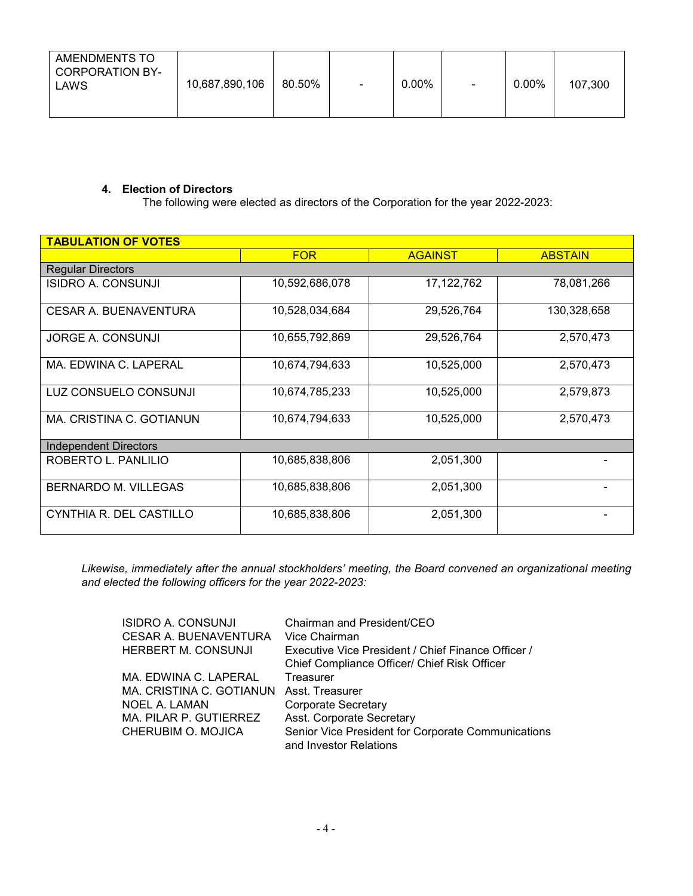| AMENDMENTS TO<br>CORPORATION BY-<br>LAWS | 10,687,890,106 | 80.50% | $\blacksquare$ | $0.00\%$ | $\overline{\phantom{0}}$ | $0.00\%$ | 107,300 |
|------------------------------------------|----------------|--------|----------------|----------|--------------------------|----------|---------|
|                                          |                |        |                |          |                          |          |         |

#### **4. Election of Directors**

The following were elected as directors of the Corporation for the year 2022-2023:

| <b>TABULATION OF VOTES</b>   |                |                |                |
|------------------------------|----------------|----------------|----------------|
|                              | <b>FOR</b>     | <b>AGAINST</b> | <b>ABSTAIN</b> |
| <b>Regular Directors</b>     |                |                |                |
| <b>ISIDRO A. CONSUNJI</b>    | 10,592,686,078 | 17, 122, 762   | 78,081,266     |
| CESAR A. BUENAVENTURA        | 10,528,034,684 | 29,526,764     | 130,328,658    |
| JORGE A. CONSUNJI            | 10,655,792,869 | 29,526,764     | 2,570,473      |
| MA. EDWINA C. LAPERAL        | 10,674,794,633 | 10,525,000     | 2,570,473      |
| LUZ CONSUELO CONSUNJI        | 10,674,785,233 | 10,525,000     | 2,579,873      |
| MA. CRISTINA C. GOTIANUN     | 10,674,794,633 | 10,525,000     | 2,570,473      |
| <b>Independent Directors</b> |                |                |                |
| ROBERTO L. PANLILIO          | 10,685,838,806 | 2,051,300      |                |
| BERNARDO M. VILLEGAS         | 10,685,838,806 | 2,051,300      |                |
| CYNTHIA R. DEL CASTILLO      | 10,685,838,806 | 2,051,300      |                |

*Likewise, immediately after the annual stockholders' meeting, the Board convened an organizational meeting and elected the following officers for the year 2022-2023:* 

| Chairman and President/CEO                                                   |
|------------------------------------------------------------------------------|
| Vice Chairman                                                                |
| Executive Vice President / Chief Finance Officer /                           |
| Chief Compliance Officer/ Chief Risk Officer                                 |
| Treasurer                                                                    |
| Asst. Treasurer                                                              |
| Corporate Secretary                                                          |
| Asst. Corporate Secretary                                                    |
| Senior Vice President for Corporate Communications<br>and Investor Relations |
|                                                                              |